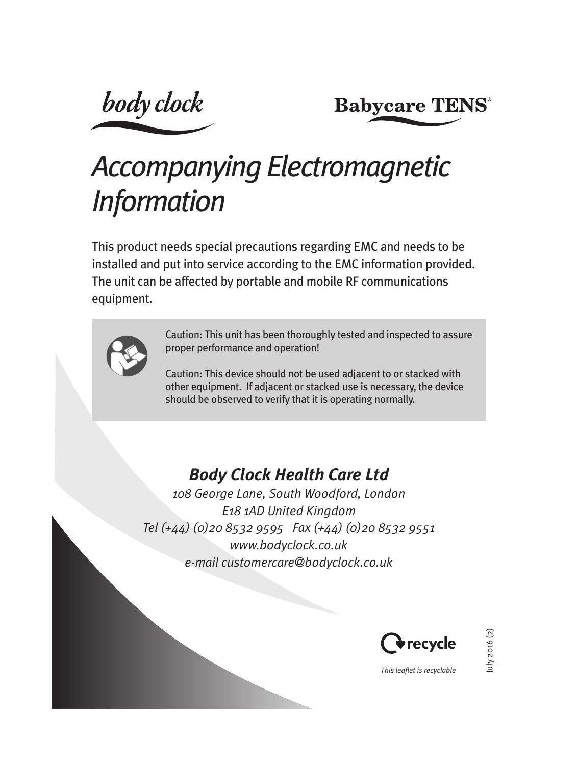**body** clock

**Babycare TENS®** 

# *Accompanying Electromagnetic Information*

This product needs special precautions regarding EMC and needs to be installed and put into service according to the EMC information provided. The unit can be affected by portable and mobile RF communications equipment.



Caution: This unit has been thoroughly tested and inspected to assure proper performance and operation!

Caution: This device should not be used adjacent to or stacked with other equipment. If adjacent or stacked use is necessary, the device should be observed to verify that it is operating normally.

## *Body Clock Health Care Ltd*

*108 George Lane, South Woodford, London E18 1AD United Kingdom Tel (+44) (0)20 8532 9595 Fax (+44) (0)20 8532 9551 www.bodyclock.co.uk e-mail customercare@bodyclock.co.uk* 



2016 (2) July 2016 (2)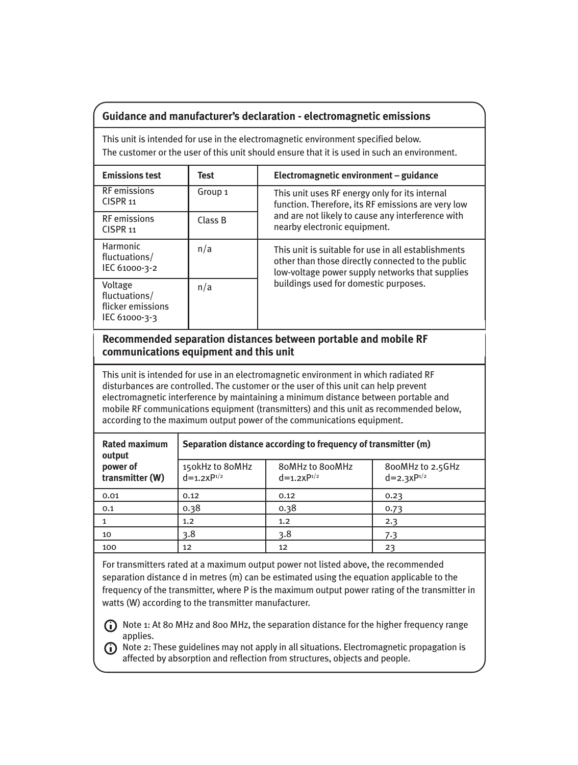#### **Guidance and manufacturer's declaration - electromagnetic emissions**

This unit is intended for use in the electromagnetic environment specified below. The customer or the user of this unit should ensure that it is used in such an environment.

| <b>Emissions test</b>                                          | Test               | Electromagnetic environment - guidance                                                                                                                                                               |  |  |
|----------------------------------------------------------------|--------------------|------------------------------------------------------------------------------------------------------------------------------------------------------------------------------------------------------|--|--|
| <b>RF</b> emissions<br>CISPR <sub>11</sub>                     | Group <sub>1</sub> | This unit uses RF energy only for its internal<br>function. Therefore, its RF emissions are very low<br>and are not likely to cause any interference with<br>nearby electronic equipment.            |  |  |
| <b>RF</b> emissions<br>CISPR <sub>11</sub>                     | Class B            |                                                                                                                                                                                                      |  |  |
| Harmonic<br>fluctuations/<br>IEC 61000-3-2                     | n/a                | This unit is suitable for use in all establishments<br>other than those directly connected to the public<br>low-voltage power supply networks that supplies<br>buildings used for domestic purposes. |  |  |
| Voltage<br>fluctuations/<br>flicker emissions<br>IEC 61000-3-3 | n/a                |                                                                                                                                                                                                      |  |  |

#### **Recommended separation distances between portable and mobile RF communications equipment and this unit**

This unit is intended for use in an electromagnetic environment in which radiated RF disturbances are controlled. The customer or the user of this unit can help prevent electromagnetic interference by maintaining a minimum distance between portable and mobile RF communications equipment (transmitters) and this unit as recommended below, according to the maximum output power of the communications equipment.

| <b>Rated maximum</b><br>output<br>power of<br>transmitter (W) | Separation distance according to frequency of transmitter (m) |                                        |                                              |  |  |
|---------------------------------------------------------------|---------------------------------------------------------------|----------------------------------------|----------------------------------------------|--|--|
|                                                               | 150kHz to 80MHz<br>$d=1.2xP^{1/2}$                            | <b>80MHz to 800MHz</b><br>$d=1.2xP1/2$ | 800MHz to 2.5GHz<br>$d = 2.3 \times P^{1/2}$ |  |  |
| 0.01                                                          | 0.12                                                          | 0.12                                   | 0.23                                         |  |  |
| 0.1                                                           | 0.38                                                          | 0.38                                   | 0.73                                         |  |  |
|                                                               | 1.2                                                           | 1.2                                    | 2.3                                          |  |  |
| 10                                                            | 3.8                                                           | 3.8                                    | 7.3                                          |  |  |
| 100                                                           | 12                                                            | 12                                     | 23                                           |  |  |

For transmitters rated at a maximum output power not listed above, the recommended separation distance d in metres (m) can be estimated using the equation applicable to the frequency of the transmitter, where P is the maximum output power rating of the transmitter in watts (W) according to the transmitter manufacturer.

Note 1: At 80 MHz and 800 MHz, the separation distance for the higher frequency range applies.

Note 2: These guidelines may not apply in all situations. Electromagnetic propagation is affected by absorption and reflection from structures, objects and people.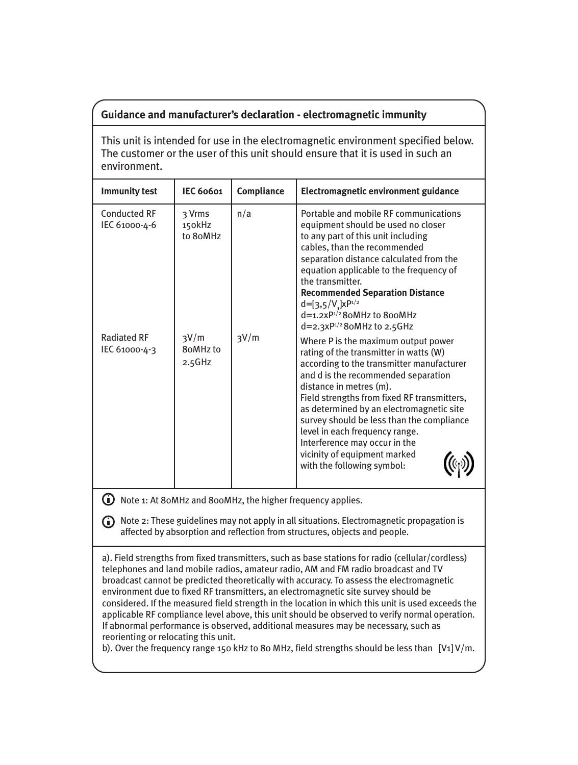#### **Guidance and manufacturer's declaration - electromagnetic immunity**

This unit is intended for use in the electromagnetic environment specified below. The customer or the user of this unit should ensure that it is used in such an environment.

| <b>Immunity test</b>                | <b>IEC 60601</b>             | Compliance | Electromagnetic environment guidance                                                                                                                                                                                                                                                                                                                                                                                                                                  |
|-------------------------------------|------------------------------|------------|-----------------------------------------------------------------------------------------------------------------------------------------------------------------------------------------------------------------------------------------------------------------------------------------------------------------------------------------------------------------------------------------------------------------------------------------------------------------------|
| Conducted RF<br>IEC 61000-4-6       | २ Vrms<br>150kHz<br>to 8oMHz | n/a        | Portable and mobile RE communications<br>equipment should be used no closer<br>to any part of this unit including<br>cables, than the recommended<br>separation distance calculated from the<br>equation applicable to the frequency of<br>the transmitter.<br><b>Recommended Separation Distance</b><br>$d=[3,5/V]xP^{1/2}$<br>$d=1.2\times P^{1/2}$ 8oMHz to 8ooMHz<br>$d=2.3xP^{1/2}$ 8oMHz to 2.5GHz                                                              |
| <b>Radiated RF</b><br>IEC 61000-4-3 | 3V/m<br>8oMHz to<br>2.5GHz   | 3V/m       | Where P is the maximum output power<br>rating of the transmitter in watts (W)<br>according to the transmitter manufacturer<br>and d is the recommended separation<br>distance in metres (m).<br>Field strengths from fixed RF transmitters,<br>as determined by an electromagnetic site<br>survey should be less than the compliance<br>level in each frequency range.<br>Interference may occur in the<br>vicinity of equipment marked<br>with the following symbol: |

Note 1: At 80MHz and 800MHz, the higher frequency applies.

Note 2: These guidelines may not apply in all situations. Electromagnetic propagation is affected by absorption and reflection from structures, objects and people.

a). Field strengths from fixed transmitters, such as base stations for radio (cellular/cordless) telephones and land mobile radios, amateur radio, AM and FM radio broadcast and TV broadcast cannot be predicted theoretically with accuracy. To assess the electromagnetic environment due to fixed RF transmitters, an electromagnetic site survey should be considered. If the measured field strength in the location in which this unit is used exceeds the applicable RF compliance level above, this unit should be observed to verify normal operation. If abnormal performance is observed, additional measures may be necessary, such as reorienting or relocating this unit.

b). Over the frequency range 150 kHz to 80 MHz, field strengths should be less than [V1] V/m.